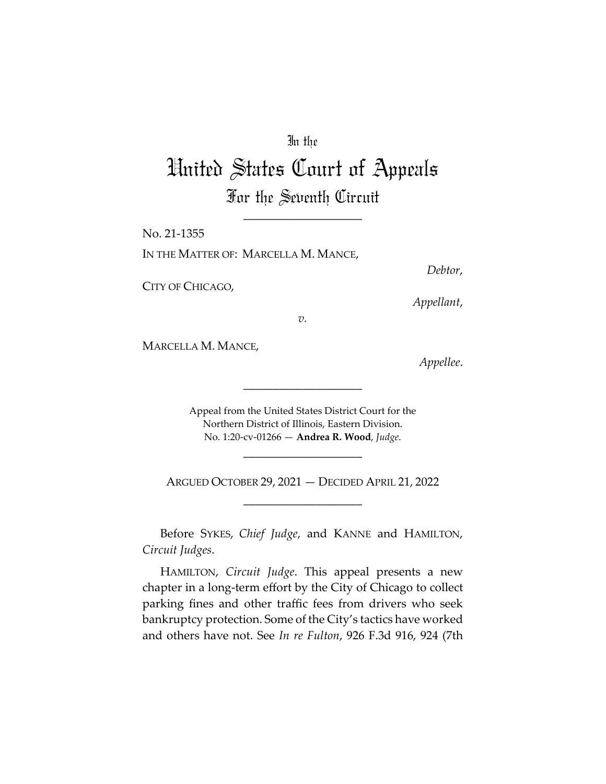### In the

# United States Court of Appeals For the Seventh Circuit

\_\_\_\_\_\_\_\_\_\_\_\_\_\_\_\_\_\_\_\_

No. 21-1355 IN THE MATTER OF: MARCELLA M. MANCE,

CITY OF CHICAGO,

*Debtor*,

*Appellant*,

*v.* 

MARCELLA M. MANCE,

*Appellee*.

Appeal from the United States District Court for the Northern District of Illinois, Eastern Division. No. 1:20-cv-01266 — **Andrea R. Wood**, *Judge*.

\_\_\_\_\_\_\_\_\_\_\_\_\_\_\_\_\_\_\_\_

\_\_\_\_\_\_\_\_\_\_\_\_\_\_\_\_\_\_\_\_

ARGUED OCTOBER 29, 2021 — DECIDED APRIL 21, 2022 \_\_\_\_\_\_\_\_\_\_\_\_\_\_\_\_\_\_\_\_

Before SYKES, *Chief Judge*, and KANNE and HAMILTON, *Circuit Judges*.

HAMILTON, *Circuit Judge*. This appeal presents a new chapter in a long-term effort by the City of Chicago to collect parking fines and other traffic fees from drivers who seek bankruptcy protection. Some of the City's tactics have worked and others have not. See *In re Fulton*, 926 F.3d 916, 924 (7th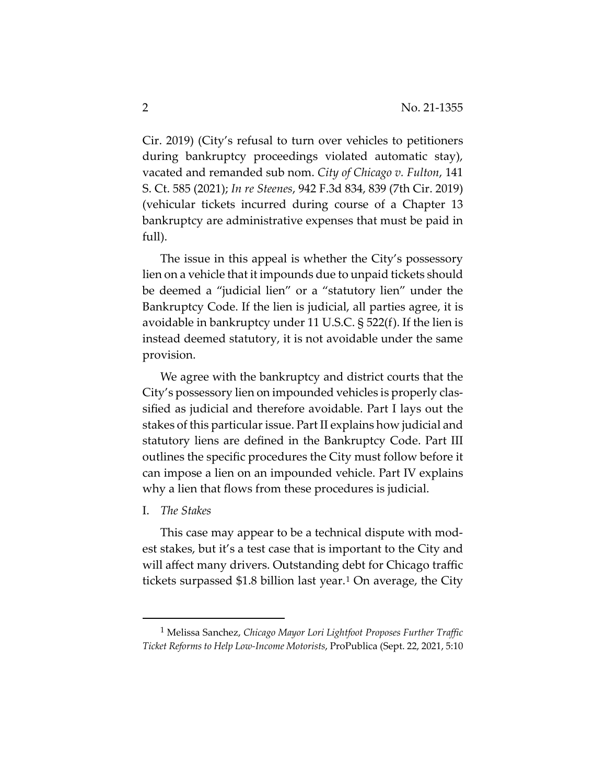Cir. 2019) (City's refusal to turn over vehicles to petitioners during bankruptcy proceedings violated automatic stay), vacated and remanded sub nom. *City of Chicago v. Fulton*, 141 S. Ct. 585 (2021); *In re Steenes*, 942 F.3d 834, 839 (7th Cir. 2019) (vehicular tickets incurred during course of a Chapter 13 bankruptcy are administrative expenses that must be paid in full).

The issue in this appeal is whether the City's possessory lien on a vehicle that it impounds due to unpaid tickets should be deemed a "judicial lien" or a "statutory lien" under the Bankruptcy Code. If the lien is judicial, all parties agree, it is avoidable in bankruptcy under 11 U.S.C. § 522(f). If the lien is instead deemed statutory, it is not avoidable under the same provision.

We agree with the bankruptcy and district courts that the City's possessory lien on impounded vehicles is properly classified as judicial and therefore avoidable. Part I lays out the stakes of this particular issue. Part II explains how judicial and statutory liens are defined in the Bankruptcy Code. Part III outlines the specific procedures the City must follow before it can impose a lien on an impounded vehicle. Part IV explains why a lien that flows from these procedures is judicial.

#### I. *The Stakes*

This case may appear to be a technical dispute with modest stakes, but it's a test case that is important to the City and will affect many drivers. Outstanding debt for Chicago traffic tickets surpassed \$1.8 billion last year.<sup>1</sup> On average, the City

<sup>1</sup> Melissa Sanchez, *Chicago Mayor Lori Lightfoot Proposes Further Traffic Ticket Reforms to Help Low-Income Motorists*, ProPublica (Sept. 22, 2021, 5:10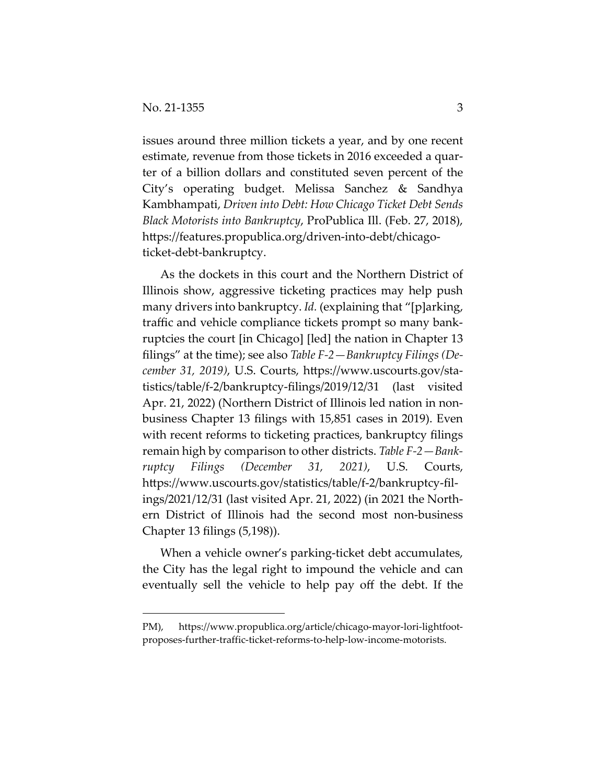issues around three million tickets a year, and by one recent estimate, revenue from those tickets in 2016 exceeded a quarter of a billion dollars and constituted seven percent of the City's operating budget. Melissa Sanchez & Sandhya Kambhampati, *Driven into Debt: How Chicago Ticket Debt Sends Black Motorists into Bankruptcy*, ProPublica Ill. (Feb. 27, 2018), https://features.propublica.org/driven-into-debt/chicagoticket-debt-bankruptcy.

As the dockets in this court and the Northern District of Illinois show, aggressive ticketing practices may help push many drivers into bankruptcy. *Id.* (explaining that "[p]arking, traffic and vehicle compliance tickets prompt so many bankruptcies the court [in Chicago] [led] the nation in Chapter 13 filings" at the time); see also *Table F-2—Bankruptcy Filings (December 31, 2019)*, U.S. Courts, https://www.uscourts.gov/statistics/table/f-2/bankruptcy-filings/2019/12/31 (last visited Apr. 21, 2022) (Northern District of Illinois led nation in nonbusiness Chapter 13 filings with 15,851 cases in 2019). Even with recent reforms to ticketing practices, bankruptcy filings remain high by comparison to other districts. *Table F-2—Bankruptcy Filings (December 31, 2021)*, U.S. Courts, https://www.uscourts.gov/statistics/table/f-2/bankruptcy-filings/2021/12/31 (last visited Apr. 21, 2022) (in 2021 the Northern District of Illinois had the second most non-business Chapter 13 filings (5,198)).

When a vehicle owner's parking-ticket debt accumulates, the City has the legal right to impound the vehicle and can eventually sell the vehicle to help pay off the debt. If the

PM), https://www.propublica.org/article/chicago-mayor-lori-lightfootproposes-further-traffic-ticket-reforms-to-help-low-income-motorists.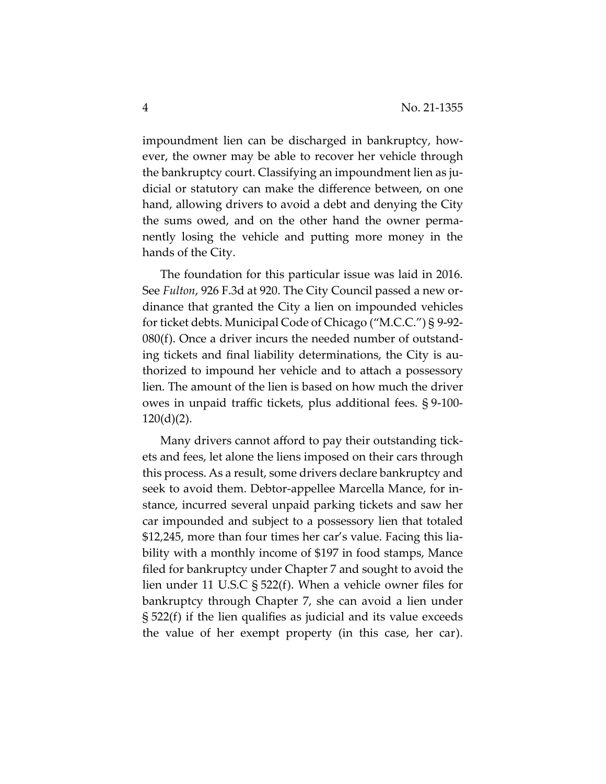impoundment lien can be discharged in bankruptcy, however, the owner may be able to recover her vehicle through the bankruptcy court. Classifying an impoundment lien as judicial or statutory can make the difference between, on one hand, allowing drivers to avoid a debt and denying the City the sums owed, and on the other hand the owner permanently losing the vehicle and putting more money in the hands of the City.

The foundation for this particular issue was laid in 2016. See *Fulton*, 926 F.3d at 920. The City Council passed a new ordinance that granted the City a lien on impounded vehicles for ticket debts. Municipal Code of Chicago ("M.C.C.") § 9-92- 080(f). Once a driver incurs the needed number of outstanding tickets and final liability determinations, the City is authorized to impound her vehicle and to attach a possessory lien. The amount of the lien is based on how much the driver owes in unpaid traffic tickets, plus additional fees. § 9-100-  $120(d)(2)$ .

Many drivers cannot afford to pay their outstanding tickets and fees, let alone the liens imposed on their cars through this process. As a result, some drivers declare bankruptcy and seek to avoid them. Debtor-appellee Marcella Mance, for instance, incurred several unpaid parking tickets and saw her car impounded and subject to a possessory lien that totaled \$12,245, more than four times her car's value. Facing this liability with a monthly income of \$197 in food stamps, Mance filed for bankruptcy under Chapter 7 and sought to avoid the lien under 11 U.S.C § 522(f). When a vehicle owner files for bankruptcy through Chapter 7, she can avoid a lien under § 522(f) if the lien qualifies as judicial and its value exceeds the value of her exempt property (in this case, her car).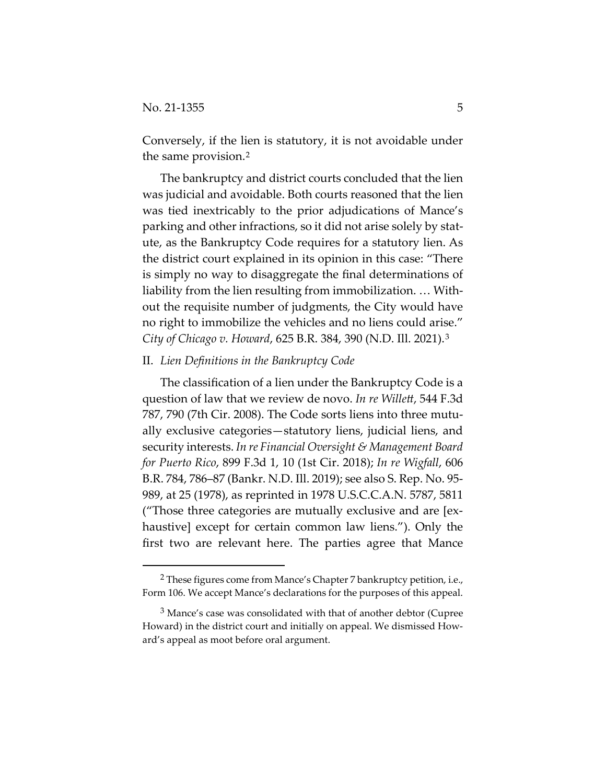Conversely, if the lien is statutory, it is not avoidable under the same provision.2

The bankruptcy and district courts concluded that the lien was judicial and avoidable. Both courts reasoned that the lien was tied inextricably to the prior adjudications of Mance's parking and other infractions, so it did not arise solely by statute, as the Bankruptcy Code requires for a statutory lien. As the district court explained in its opinion in this case: "There is simply no way to disaggregate the final determinations of liability from the lien resulting from immobilization. … Without the requisite number of judgments, the City would have no right to immobilize the vehicles and no liens could arise." *City of Chicago v. Howard*, 625 B.R. 384, 390 (N.D. Ill. 2021).3

#### II. *Lien Definitions in the Bankruptcy Code*

The classification of a lien under the Bankruptcy Code is a question of law that we review de novo. *In re Willett*, 544 F.3d 787, 790 (7th Cir. 2008). The Code sorts liens into three mutually exclusive categories—statutory liens, judicial liens, and security interests. *In re Financial Oversight & Management Board for Puerto Rico*, 899 F.3d 1, 10 (1st Cir. 2018); *In re Wigfall*, 606 B.R. 784, 786–87 (Bankr. N.D. Ill. 2019); see also S. Rep. No. 95- 989, at 25 (1978), as reprinted in 1978 U.S.C.C.A.N. 5787, 5811 ("Those three categories are mutually exclusive and are [exhaustive] except for certain common law liens."). Only the first two are relevant here. The parties agree that Mance

<sup>2</sup> These figures come from Mance's Chapter 7 bankruptcy petition, i.e., Form 106. We accept Mance's declarations for the purposes of this appeal.

<sup>3</sup> Mance's case was consolidated with that of another debtor (Cupree Howard) in the district court and initially on appeal. We dismissed Howard's appeal as moot before oral argument.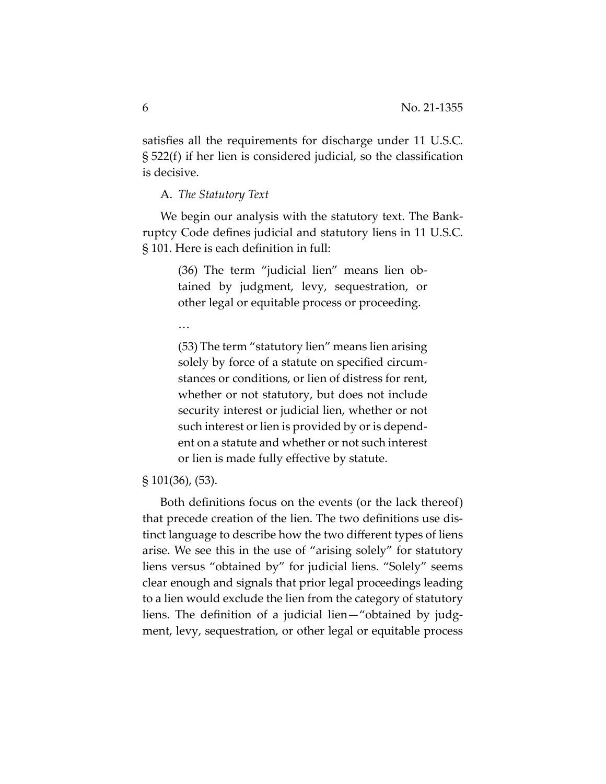satisfies all the requirements for discharge under 11 U.S.C. § 522(f) if her lien is considered judicial, so the classification is decisive.

A. *The Statutory Text*

We begin our analysis with the statutory text. The Bankruptcy Code defines judicial and statutory liens in 11 U.S.C. § 101. Here is each definition in full:

> (36) The term "judicial lien" means lien obtained by judgment, levy, sequestration, or other legal or equitable process or proceeding.

…

(53) The term "statutory lien" means lien arising solely by force of a statute on specified circumstances or conditions, or lien of distress for rent, whether or not statutory, but does not include security interest or judicial lien, whether or not such interest or lien is provided by or is dependent on a statute and whether or not such interest or lien is made fully effective by statute.

#### § 101(36), (53).

Both definitions focus on the events (or the lack thereof) that precede creation of the lien. The two definitions use distinct language to describe how the two different types of liens arise. We see this in the use of "arising solely" for statutory liens versus "obtained by" for judicial liens. "Solely" seems clear enough and signals that prior legal proceedings leading to a lien would exclude the lien from the category of statutory liens. The definition of a judicial lien—"obtained by judgment, levy, sequestration, or other legal or equitable process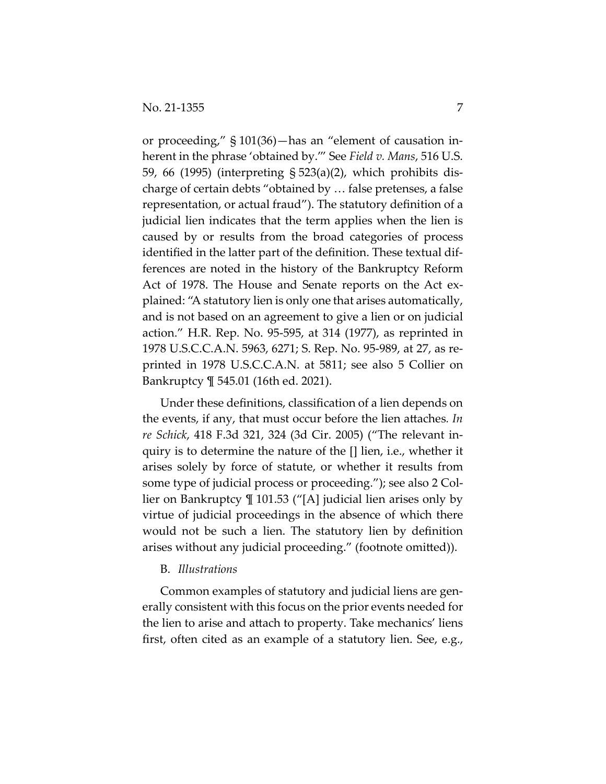or proceeding," § 101(36)—has an "element of causation inherent in the phrase 'obtained by.'" See *Field v. Mans*, 516 U.S. 59, 66 (1995) (interpreting § 523(a)(2), which prohibits discharge of certain debts "obtained by … false pretenses, a false representation, or actual fraud"). The statutory definition of a judicial lien indicates that the term applies when the lien is caused by or results from the broad categories of process identified in the latter part of the definition. These textual differences are noted in the history of the Bankruptcy Reform Act of 1978. The House and Senate reports on the Act explained: "A statutory lien is only one that arises automatically, and is not based on an agreement to give a lien or on judicial action." H.R. Rep. No. 95-595, at 314 (1977), as reprinted in 1978 U.S.C.C.A.N. 5963, 6271; S. Rep. No. 95-989, at 27, as reprinted in 1978 U.S.C.C.A.N. at 5811; see also 5 Collier on Bankruptcy ¶ 545.01 (16th ed. 2021).

Under these definitions, classification of a lien depends on the events, if any, that must occur before the lien attaches*. In re Schick*, 418 F.3d 321, 324 (3d Cir. 2005) ("The relevant inquiry is to determine the nature of the [] lien, i.e., whether it arises solely by force of statute, or whether it results from some type of judicial process or proceeding."); see also 2 Collier on Bankruptcy ¶ 101.53 ("[A] judicial lien arises only by virtue of judicial proceedings in the absence of which there would not be such a lien. The statutory lien by definition arises without any judicial proceeding." (footnote omitted)).

#### B. *Illustrations*

Common examples of statutory and judicial liens are generally consistent with this focus on the prior events needed for the lien to arise and attach to property. Take mechanics' liens first, often cited as an example of a statutory lien. See, e.g.,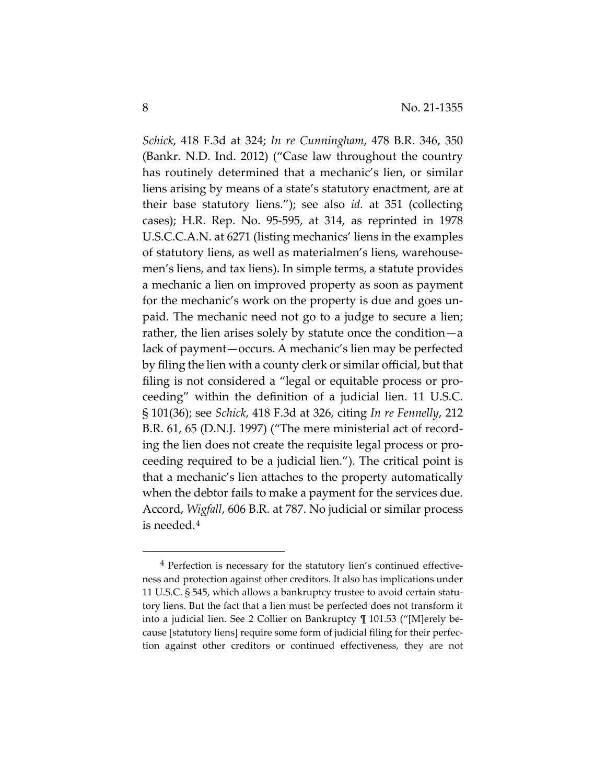*Schick*, 418 F.3d at 324; *In re Cunningham*, 478 B.R. 346, 350 (Bankr. N.D. Ind. 2012) ("Case law throughout the country has routinely determined that a mechanic's lien, or similar liens arising by means of a state's statutory enactment, are at their base statutory liens."); see also *id.* at 351 (collecting cases); H.R. Rep. No. 95-595, at 314, as reprinted in 1978 U.S.C.C.A.N. at 6271 (listing mechanics' liens in the examples of statutory liens, as well as materialmen's liens, warehousemen's liens, and tax liens). In simple terms, a statute provides a mechanic a lien on improved property as soon as payment for the mechanic's work on the property is due and goes unpaid. The mechanic need not go to a judge to secure a lien; rather, the lien arises solely by statute once the condition—a lack of payment—occurs. A mechanic's lien may be perfected by filing the lien with a county clerk or similar official, but that filing is not considered a "legal or equitable process or proceeding" within the definition of a judicial lien. 11 U.S.C. § 101(36); see *Schick*, 418 F.3d at 326, citing *In re Fennelly*, 212 B.R. 61, 65 (D.N.J. 1997) ("The mere ministerial act of recording the lien does not create the requisite legal process or proceeding required to be a judicial lien."). The critical point is that a mechanic's lien attaches to the property automatically when the debtor fails to make a payment for the services due. Accord, *Wigfall*, 606 B.R. at 787. No judicial or similar process is needed.4

<sup>4</sup> Perfection is necessary for the statutory lien's continued effectiveness and protection against other creditors. It also has implications under 11 U.S.C. § 545, which allows a bankruptcy trustee to avoid certain statutory liens. But the fact that a lien must be perfected does not transform it into a judicial lien. See 2 Collier on Bankruptcy ¶ 101.53 ("[M]erely because [statutory liens] require some form of judicial filing for their perfection against other creditors or continued effectiveness, they are not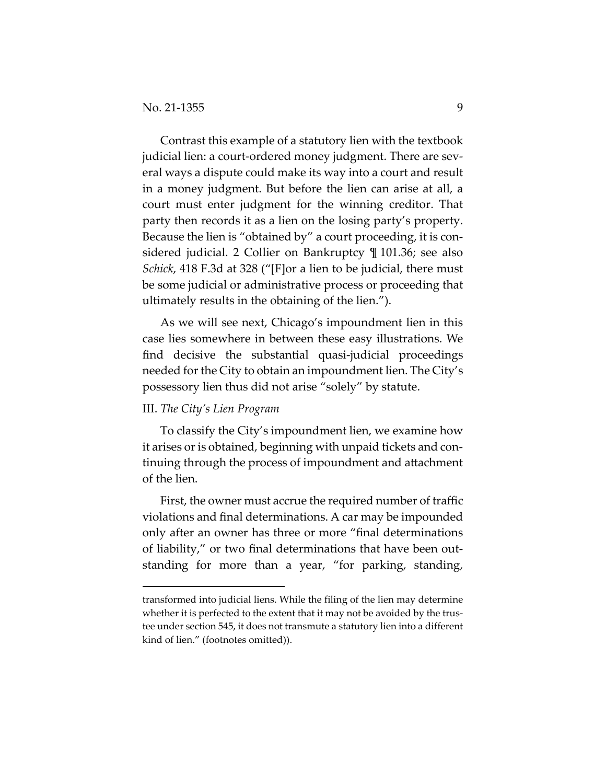Contrast this example of a statutory lien with the textbook judicial lien: a court-ordered money judgment. There are several ways a dispute could make its way into a court and result in a money judgment. But before the lien can arise at all, a court must enter judgment for the winning creditor. That party then records it as a lien on the losing party's property. Because the lien is "obtained by" a court proceeding, it is considered judicial. 2 Collier on Bankruptcy ¶ 101.36; see also *Schick*, 418 F.3d at 328 ("[F]or a lien to be judicial, there must be some judicial or administrative process or proceeding that ultimately results in the obtaining of the lien.").

As we will see next, Chicago's impoundment lien in this case lies somewhere in between these easy illustrations. We find decisive the substantial quasi-judicial proceedings needed for the City to obtain an impoundment lien. The City's possessory lien thus did not arise "solely" by statute.

#### III. *The City's Lien Program*

To classify the City's impoundment lien, we examine how it arises or is obtained, beginning with unpaid tickets and continuing through the process of impoundment and attachment of the lien.

First, the owner must accrue the required number of traffic violations and final determinations. A car may be impounded only after an owner has three or more "final determinations of liability," or two final determinations that have been outstanding for more than a year, "for parking, standing,

transformed into judicial liens. While the filing of the lien may determine whether it is perfected to the extent that it may not be avoided by the trustee under section 545, it does not transmute a statutory lien into a different kind of lien." (footnotes omitted)).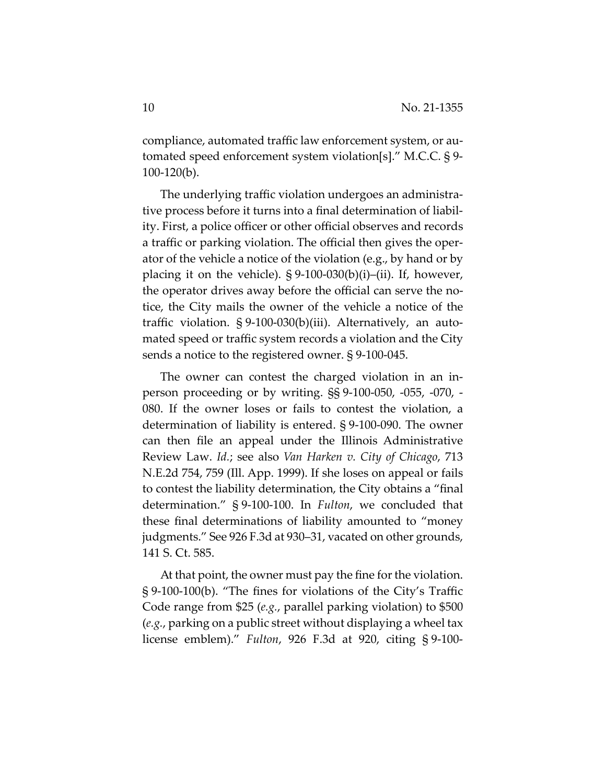compliance, automated traffic law enforcement system, or automated speed enforcement system violation[s]." M.C.C. § 9- 100-120(b).

The underlying traffic violation undergoes an administrative process before it turns into a final determination of liability. First, a police officer or other official observes and records a traffic or parking violation. The official then gives the operator of the vehicle a notice of the violation (e.g., by hand or by placing it on the vehicle).  $\S 9-100-030(b)(i)-(ii)$ . If, however, the operator drives away before the official can serve the notice, the City mails the owner of the vehicle a notice of the traffic violation. § 9-100-030(b)(iii). Alternatively, an automated speed or traffic system records a violation and the City sends a notice to the registered owner. § 9-100-045.

The owner can contest the charged violation in an inperson proceeding or by writing. §§ 9-100-050, -055, -070, - 080. If the owner loses or fails to contest the violation, a determination of liability is entered. § 9-100-090. The owner can then file an appeal under the Illinois Administrative Review Law. *Id.*; see also *Van Harken v. City of Chicago*, 713 N.E.2d 754, 759 (Ill. App. 1999). If she loses on appeal or fails to contest the liability determination, the City obtains a "final determination." § 9-100-100. In *Fulton*, we concluded that these final determinations of liability amounted to "money judgments." See 926 F.3d at 930–31, vacated on other grounds, 141 S. Ct. 585.

At that point, the owner must pay the fine for the violation. § 9-100-100(b). "The fines for violations of the City's Traffic Code range from \$25 (*e.g.*, parallel parking violation) to \$500 (*e.g.*, parking on a public street without displaying a wheel tax license emblem)." *Fulton*, 926 F.3d at 920, citing § 9-100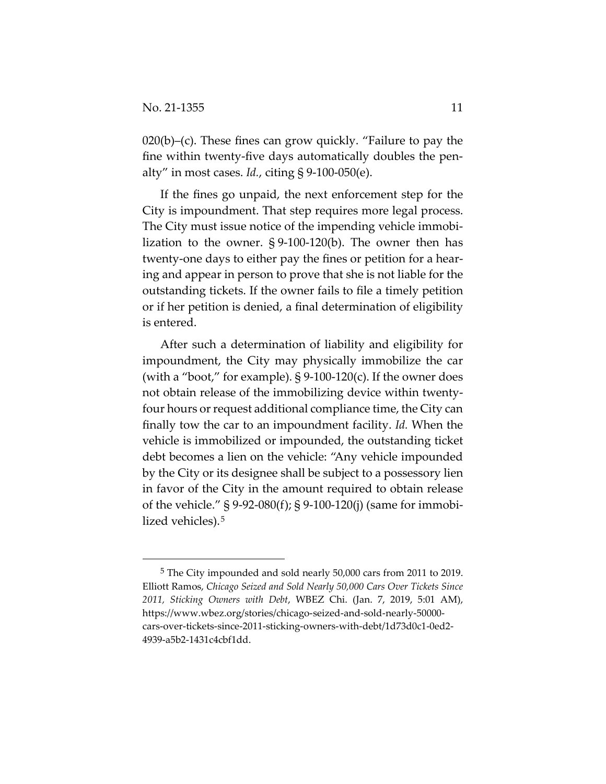$020(b)$ –(c). These fines can grow quickly. "Failure to pay the fine within twenty-five days automatically doubles the penalty" in most cases. *Id.*, citing § 9-100-050(e).

If the fines go unpaid, the next enforcement step for the City is impoundment. That step requires more legal process. The City must issue notice of the impending vehicle immobilization to the owner. § 9-100-120(b). The owner then has twenty-one days to either pay the fines or petition for a hearing and appear in person to prove that she is not liable for the outstanding tickets. If the owner fails to file a timely petition or if her petition is denied, a final determination of eligibility is entered.

After such a determination of liability and eligibility for impoundment, the City may physically immobilize the car (with a "boot," for example).  $\S 9-100-120(c)$ . If the owner does not obtain release of the immobilizing device within twentyfour hours or request additional compliance time, the City can finally tow the car to an impoundment facility. *Id.* When the vehicle is immobilized or impounded, the outstanding ticket debt becomes a lien on the vehicle: "Any vehicle impounded by the City or its designee shall be subject to a possessory lien in favor of the City in the amount required to obtain release of the vehicle." § 9-92-080(f); § 9-100-120(j) (same for immobilized vehicles).<sup>5</sup>

<sup>5</sup> The City impounded and sold nearly 50,000 cars from 2011 to 2019. Elliott Ramos, *Chicago Seized and Sold Nearly 50,000 Cars Over Tickets Since 2011, Sticking Owners with Debt*, WBEZ Chi. (Jan. 7, 2019, 5:01 AM), https://www.wbez.org/stories/chicago-seized-and-sold-nearly-50000 cars-over-tickets-since-2011-sticking-owners-with-debt/1d73d0c1-0ed2- 4939-a5b2-1431c4cbf1dd.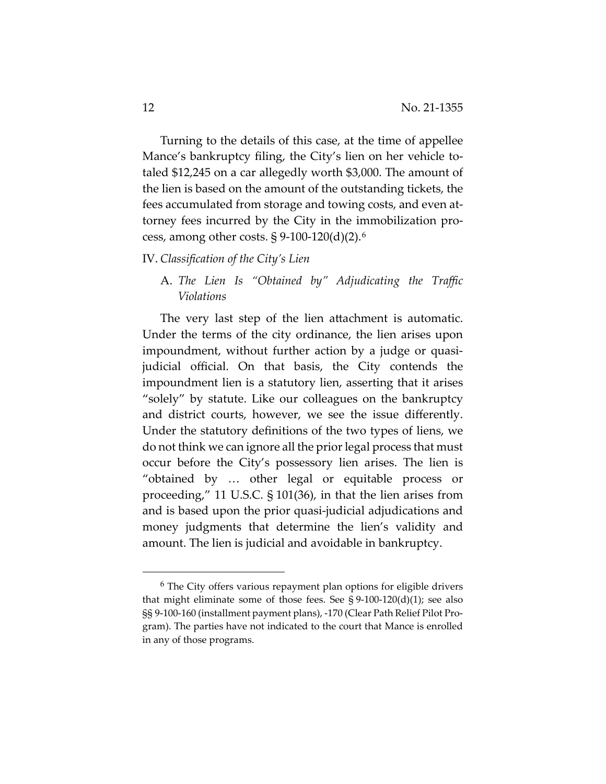Turning to the details of this case, at the time of appellee Mance's bankruptcy filing, the City's lien on her vehicle totaled \$12,245 on a car allegedly worth \$3,000. The amount of the lien is based on the amount of the outstanding tickets, the fees accumulated from storage and towing costs, and even attorney fees incurred by the City in the immobilization process, among other costs.  $\S 9-100-120(d)(2)$ .<sup>6</sup>

#### IV. *Classification of the City's Lien*

## A. *The Lien Is "Obtained by" Adjudicating the Traffic Violations*

The very last step of the lien attachment is automatic. Under the terms of the city ordinance, the lien arises upon impoundment, without further action by a judge or quasijudicial official. On that basis, the City contends the impoundment lien is a statutory lien, asserting that it arises "solely" by statute. Like our colleagues on the bankruptcy and district courts, however, we see the issue differently. Under the statutory definitions of the two types of liens, we do not think we can ignore all the prior legal process that must occur before the City's possessory lien arises. The lien is "obtained by … other legal or equitable process or proceeding," 11 U.S.C. § 101(36), in that the lien arises from and is based upon the prior quasi-judicial adjudications and money judgments that determine the lien's validity and amount. The lien is judicial and avoidable in bankruptcy.

 $6$  The City offers various repayment plan options for eligible drivers that might eliminate some of those fees. See §  $9-100-120(d)(1)$ ; see also §§ 9-100-160 (installment payment plans), -170 (Clear Path Relief Pilot Program). The parties have not indicated to the court that Mance is enrolled in any of those programs.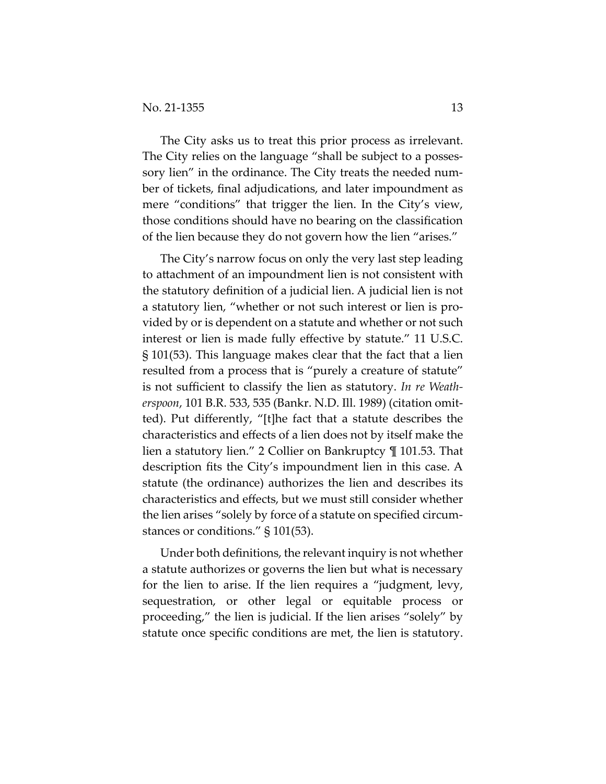The City asks us to treat this prior process as irrelevant. The City relies on the language "shall be subject to a possessory lien" in the ordinance. The City treats the needed number of tickets, final adjudications, and later impoundment as mere "conditions" that trigger the lien. In the City's view, those conditions should have no bearing on the classification of the lien because they do not govern how the lien "arises."

The City's narrow focus on only the very last step leading to attachment of an impoundment lien is not consistent with the statutory definition of a judicial lien. A judicial lien is not a statutory lien, "whether or not such interest or lien is provided by or is dependent on a statute and whether or not such interest or lien is made fully effective by statute." 11 U.S.C. § 101(53). This language makes clear that the fact that a lien resulted from a process that is "purely a creature of statute" is not sufficient to classify the lien as statutory. *In re Weatherspoon*, 101 B.R. 533, 535 (Bankr. N.D. Ill. 1989) (citation omitted). Put differently, "[t]he fact that a statute describes the characteristics and effects of a lien does not by itself make the lien a statutory lien." 2 Collier on Bankruptcy ¶ 101.53. That description fits the City's impoundment lien in this case. A statute (the ordinance) authorizes the lien and describes its characteristics and effects, but we must still consider whether the lien arises "solely by force of a statute on specified circumstances or conditions." § 101(53).

Under both definitions, the relevant inquiry is not whether a statute authorizes or governs the lien but what is necessary for the lien to arise. If the lien requires a "judgment, levy, sequestration, or other legal or equitable process or proceeding," the lien is judicial. If the lien arises "solely" by statute once specific conditions are met, the lien is statutory.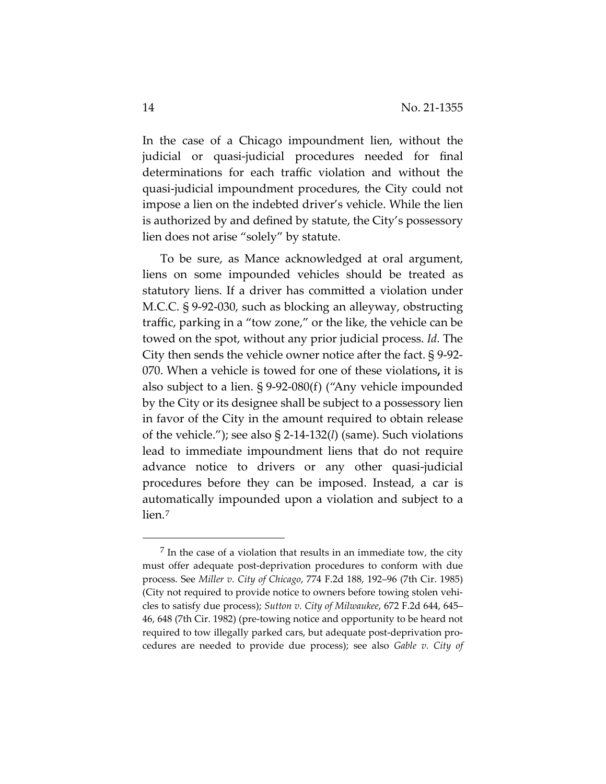In the case of a Chicago impoundment lien, without the judicial or quasi-judicial procedures needed for final determinations for each traffic violation and without the quasi-judicial impoundment procedures, the City could not impose a lien on the indebted driver's vehicle. While the lien is authorized by and defined by statute, the City's possessory lien does not arise "solely" by statute.

To be sure, as Mance acknowledged at oral argument, liens on some impounded vehicles should be treated as statutory liens. If a driver has committed a violation under M.C.C. § 9-92-030, such as blocking an alleyway, obstructing traffic, parking in a "tow zone," or the like, the vehicle can be towed on the spot, without any prior judicial process. *Id.* The City then sends the vehicle owner notice after the fact. § 9-92- 070. When a vehicle is towed for one of these violations**,** it is also subject to a lien. § 9-92-080(f) ("Any vehicle impounded by the City or its designee shall be subject to a possessory lien in favor of the City in the amount required to obtain release of the vehicle."); see also § 2-14-132(*l*) (same). Such violations lead to immediate impoundment liens that do not require advance notice to drivers or any other quasi-judicial procedures before they can be imposed. Instead, a car is automatically impounded upon a violation and subject to a lien.7

 $<sup>7</sup>$  In the case of a violation that results in an immediate tow, the city</sup> must offer adequate post-deprivation procedures to conform with due process. See *Miller v. City of Chicago*, 774 F.2d 188, 192–96 (7th Cir. 1985) (City not required to provide notice to owners before towing stolen vehicles to satisfy due process); *Sutton v. City of Milwaukee*, 672 F.2d 644, 645– 46, 648 (7th Cir. 1982) (pre-towing notice and opportunity to be heard not required to tow illegally parked cars, but adequate post-deprivation procedures are needed to provide due process); see also *Gable v. City of*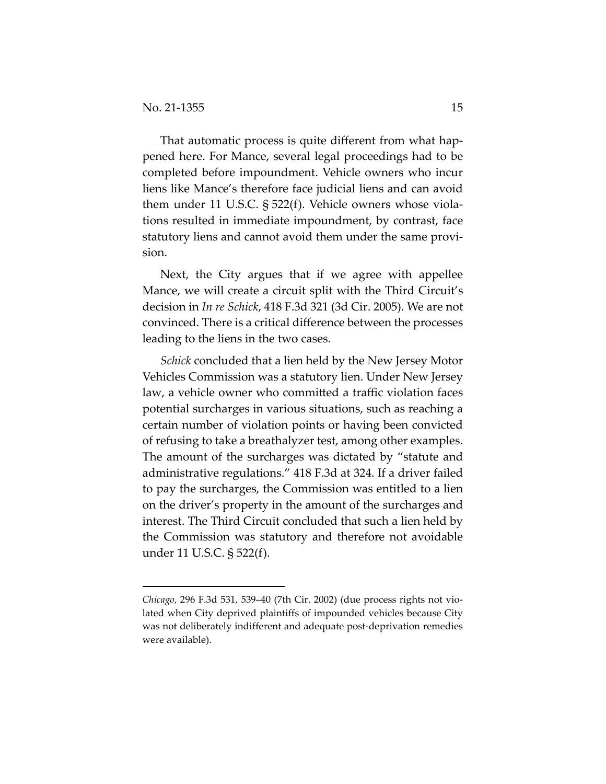That automatic process is quite different from what happened here. For Mance, several legal proceedings had to be completed before impoundment. Vehicle owners who incur liens like Mance's therefore face judicial liens and can avoid them under 11 U.S.C. § 522(f). Vehicle owners whose violations resulted in immediate impoundment, by contrast, face statutory liens and cannot avoid them under the same provision.

Next, the City argues that if we agree with appellee Mance, we will create a circuit split with the Third Circuit's decision in *In re Schick*, 418 F.3d 321 (3d Cir. 2005). We are not convinced. There is a critical difference between the processes leading to the liens in the two cases.

*Schick* concluded that a lien held by the New Jersey Motor Vehicles Commission was a statutory lien. Under New Jersey law, a vehicle owner who committed a traffic violation faces potential surcharges in various situations, such as reaching a certain number of violation points or having been convicted of refusing to take a breathalyzer test, among other examples. The amount of the surcharges was dictated by "statute and administrative regulations." 418 F.3d at 324. If a driver failed to pay the surcharges, the Commission was entitled to a lien on the driver's property in the amount of the surcharges and interest. The Third Circuit concluded that such a lien held by the Commission was statutory and therefore not avoidable under 11 U.S.C. § 522(f).

*Chicago*, 296 F.3d 531, 539–40 (7th Cir. 2002) (due process rights not violated when City deprived plaintiffs of impounded vehicles because City was not deliberately indifferent and adequate post-deprivation remedies were available).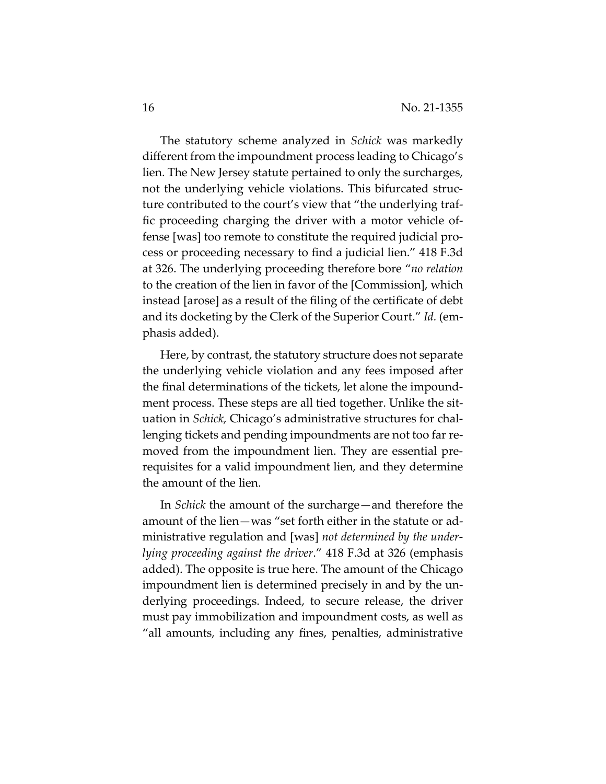The statutory scheme analyzed in *Schick* was markedly different from the impoundment process leading to Chicago's lien. The New Jersey statute pertained to only the surcharges, not the underlying vehicle violations. This bifurcated structure contributed to the court's view that "the underlying traffic proceeding charging the driver with a motor vehicle offense [was] too remote to constitute the required judicial process or proceeding necessary to find a judicial lien." 418 F.3d at 326. The underlying proceeding therefore bore "*no relation* to the creation of the lien in favor of the [Commission], which instead [arose] as a result of the filing of the certificate of debt and its docketing by the Clerk of the Superior Court." *Id.* (emphasis added).

Here, by contrast, the statutory structure does not separate the underlying vehicle violation and any fees imposed after the final determinations of the tickets, let alone the impoundment process. These steps are all tied together. Unlike the situation in *Schick*, Chicago's administrative structures for challenging tickets and pending impoundments are not too far removed from the impoundment lien. They are essential prerequisites for a valid impoundment lien, and they determine the amount of the lien.

In *Schick* the amount of the surcharge—and therefore the amount of the lien—was "set forth either in the statute or administrative regulation and [was] *not determined by the underlying proceeding against the driver*." 418 F.3d at 326 (emphasis added). The opposite is true here. The amount of the Chicago impoundment lien is determined precisely in and by the underlying proceedings. Indeed, to secure release, the driver must pay immobilization and impoundment costs, as well as "all amounts, including any fines, penalties, administrative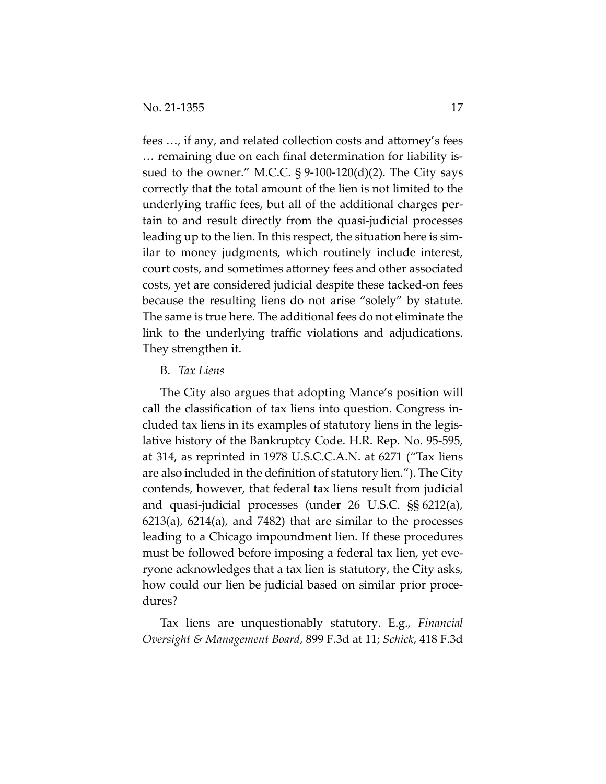fees …, if any, and related collection costs and attorney's fees … remaining due on each final determination for liability issued to the owner." M.C.C.  $\S 9-100-120(d)(2)$ . The City says correctly that the total amount of the lien is not limited to the underlying traffic fees, but all of the additional charges pertain to and result directly from the quasi-judicial processes leading up to the lien. In this respect, the situation here is similar to money judgments, which routinely include interest, court costs, and sometimes attorney fees and other associated costs, yet are considered judicial despite these tacked-on fees because the resulting liens do not arise "solely" by statute. The same is true here. The additional fees do not eliminate the link to the underlying traffic violations and adjudications. They strengthen it.

#### B. *Tax Liens*

The City also argues that adopting Mance's position will call the classification of tax liens into question. Congress included tax liens in its examples of statutory liens in the legislative history of the Bankruptcy Code. H.R. Rep. No. 95-595, at 314, as reprinted in 1978 U.S.C.C.A.N. at 6271 ("Tax liens are also included in the definition of statutory lien."). The City contends, however, that federal tax liens result from judicial and quasi-judicial processes (under 26 U.S.C. §§ 6212(a), 6213(a), 6214(a), and 7482) that are similar to the processes leading to a Chicago impoundment lien. If these procedures must be followed before imposing a federal tax lien, yet everyone acknowledges that a tax lien is statutory, the City asks, how could our lien be judicial based on similar prior procedures?

Tax liens are unquestionably statutory. E.g., *Financial Oversight & Management Board*, 899 F.3d at 11; *Schick*, 418 F.3d